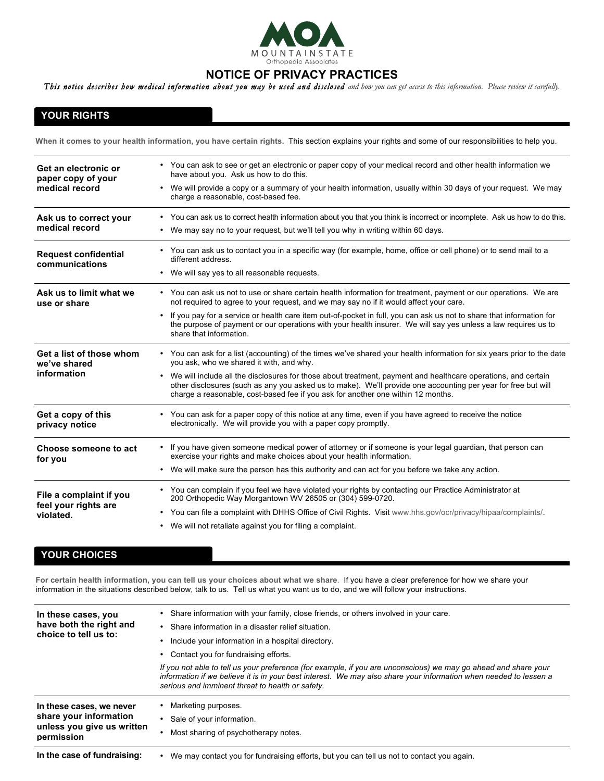

# **NOTICE OF PRIVACY PRACTICES**

This notice describes how medical information about you may be used and disclosed and how you can get access to this information. Please review it carefully.

## **YOUR RIGHTS**

**When it comes to your health information, you have certain rights.** This section explains your rights and some of our responsibilities to help you.

| Get an electronic or<br>paper copy of your<br>medical record | • You can ask to see or get an electronic or paper copy of your medical record and other health information we<br>have about you. Ask us how to do this.<br>We will provide a copy or a summary of your health information, usually within 30 days of your request. We may<br>$\bullet$<br>charge a reasonable, cost-based fee. |  |
|--------------------------------------------------------------|---------------------------------------------------------------------------------------------------------------------------------------------------------------------------------------------------------------------------------------------------------------------------------------------------------------------------------|--|
| Ask us to correct your<br>medical record                     | • You can ask us to correct health information about you that you think is incorrect or incomplete. Ask us how to do this.<br>We may say no to your request, but we'll tell you why in writing within 60 days.<br>$\bullet$                                                                                                     |  |
| <b>Request confidential</b><br>communications                | • You can ask us to contact you in a specific way (for example, home, office or cell phone) or to send mail to a<br>different address.<br>We will say yes to all reasonable requests.<br>$\bullet$                                                                                                                              |  |
| Ask us to limit what we<br>use or share                      | • You can ask us not to use or share certain health information for treatment, payment or our operations. We are<br>not required to agree to your request, and we may say no if it would affect your care.                                                                                                                      |  |
|                                                              | If you pay for a service or health care item out-of-pocket in full, you can ask us not to share that information for<br>$\bullet$<br>the purpose of payment or our operations with your health insurer. We will say yes unless a law requires us to<br>share that information.                                                  |  |
| Get a list of those whom<br>we've shared                     | • You can ask for a list (accounting) of the times we've shared your health information for six years prior to the date<br>you ask, who we shared it with, and why.                                                                                                                                                             |  |
| information                                                  | • We will include all the disclosures for those about treatment, payment and healthcare operations, and certain<br>other disclosures (such as any you asked us to make). We'll provide one accounting per year for free but will<br>charge a reasonable, cost-based fee if you ask for another one within 12 months.            |  |
| Get a copy of this<br>privacy notice                         | • You can ask for a paper copy of this notice at any time, even if you have agreed to receive the notice<br>electronically. We will provide you with a paper copy promptly.                                                                                                                                                     |  |
| Choose someone to act<br>for you                             | If you have given someone medical power of attorney or if someone is your legal guardian, that person can<br>exercise your rights and make choices about your health information.                                                                                                                                               |  |
|                                                              | We will make sure the person has this authority and can act for you before we take any action.<br>$\bullet$                                                                                                                                                                                                                     |  |
| File a complaint if you<br>feel your rights are              | • You can complain if you feel we have violated your rights by contacting our Practice Administrator at<br>200 Orthopedic Way Morgantown WV 26505 or (304) 599-0720.                                                                                                                                                            |  |
| violated.                                                    | You can file a complaint with DHHS Office of Civil Rights. Visit www.hhs.gov/ocr/privacy/hipaa/complaints/.<br>$\bullet$                                                                                                                                                                                                        |  |
|                                                              | • We will not retaliate against you for filing a complaint.                                                                                                                                                                                                                                                                     |  |

### **YOUR CHOICES**

**For certain health information, you can tell us your choices about what we share**. If you have a clear preference for how we share your information in the situations described below, talk to us. Tell us what you want us to do, and we will follow your instructions.

| In these cases, you<br>have both the right and<br>choice to tell us to:                        | • Share information with your family, close friends, or others involved in your care.<br>• Share information in a disaster relief situation.<br>Include your information in a hospital directory.<br>• Contact you for fundraising efforts.<br>If you not able to tell us your preference (for example, if you are unconscious) we may go ahead and share your<br>information if we believe it is in your best interest. We may also share your information when needed to lessen a<br>serious and imminent threat to health or safety. |
|------------------------------------------------------------------------------------------------|-----------------------------------------------------------------------------------------------------------------------------------------------------------------------------------------------------------------------------------------------------------------------------------------------------------------------------------------------------------------------------------------------------------------------------------------------------------------------------------------------------------------------------------------|
| In these cases, we never<br>share your information<br>unless you give us written<br>permission | Marketing purposes.<br>Sale of your information.<br>Most sharing of psychotherapy notes.                                                                                                                                                                                                                                                                                                                                                                                                                                                |
| In the case of fundraising:                                                                    | We may contact you for fundraising efforts, but you can tell us not to contact you again.                                                                                                                                                                                                                                                                                                                                                                                                                                               |